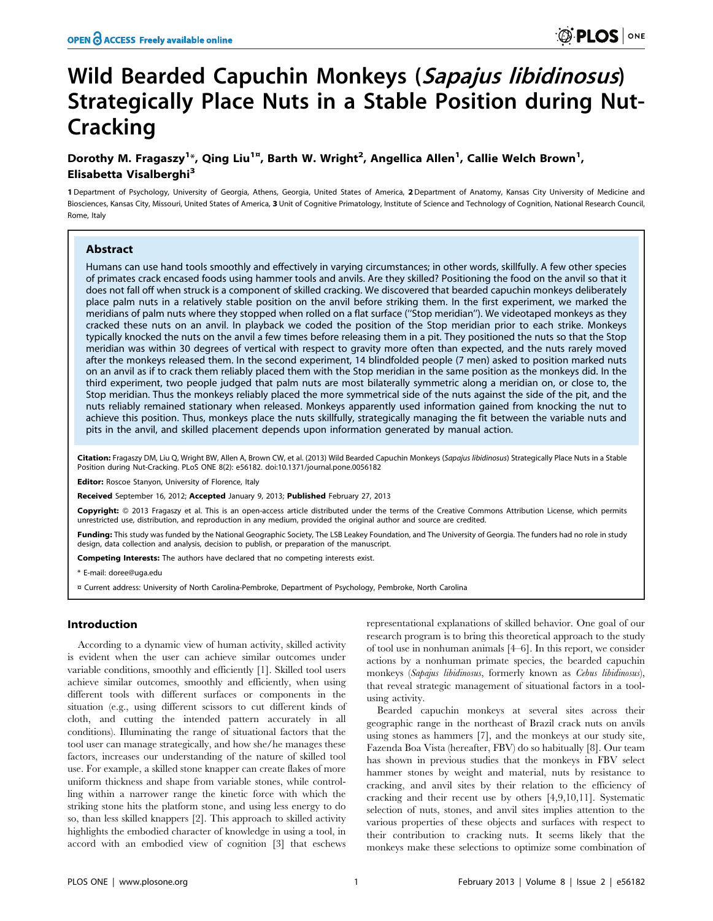# Wild Bearded Capuchin Monkeys (Sapajus libidinosus) Strategically Place Nuts in a Stable Position during Nut-**Cracking**

## Dorothy M. Fragaszy<sup>1</sup>\*, Qing Liu<sup>1¤</sup>, Barth W. Wright<sup>2</sup>, Angellica Allen<sup>1</sup>, Callie Welch Brown<sup>1</sup>, Elisabetta Visalberghi<sup>3</sup>

1 Department of Psychology, University of Georgia, Athens, Georgia, United States of America, 2 Department of Anatomy, Kansas City University of Medicine and Biosciences, Kansas City, Missouri, United States of America, 3 Unit of Cognitive Primatology, Institute of Science and Technology of Cognition, National Research Council, Rome, Italy

## Abstract

Humans can use hand tools smoothly and effectively in varying circumstances; in other words, skillfully. A few other species of primates crack encased foods using hammer tools and anvils. Are they skilled? Positioning the food on the anvil so that it does not fall off when struck is a component of skilled cracking. We discovered that bearded capuchin monkeys deliberately place palm nuts in a relatively stable position on the anvil before striking them. In the first experiment, we marked the meridians of palm nuts where they stopped when rolled on a flat surface (''Stop meridian''). We videotaped monkeys as they cracked these nuts on an anvil. In playback we coded the position of the Stop meridian prior to each strike. Monkeys typically knocked the nuts on the anvil a few times before releasing them in a pit. They positioned the nuts so that the Stop meridian was within 30 degrees of vertical with respect to gravity more often than expected, and the nuts rarely moved after the monkeys released them. In the second experiment, 14 blindfolded people (7 men) asked to position marked nuts on an anvil as if to crack them reliably placed them with the Stop meridian in the same position as the monkeys did. In the third experiment, two people judged that palm nuts are most bilaterally symmetric along a meridian on, or close to, the Stop meridian. Thus the monkeys reliably placed the more symmetrical side of the nuts against the side of the pit, and the nuts reliably remained stationary when released. Monkeys apparently used information gained from knocking the nut to achieve this position. Thus, monkeys place the nuts skillfully, strategically managing the fit between the variable nuts and pits in the anvil, and skilled placement depends upon information generated by manual action.

Citation: Fragaszy DM, Liu Q, Wright BW, Allen A, Brown CW, et al. (2013) Wild Bearded Capuchin Monkeys (Sapajus libidinosus) Strategically Place Nuts in a Stable Position during Nut-Cracking. PLoS ONE 8(2): e56182. doi:10.1371/journal.pone.0056182

Editor: Roscoe Stanyon, University of Florence, Italy

Received September 16, 2012; Accepted January 9, 2013; Published February 27, 2013

Copyright: © 2013 Fragaszy et al. This is an open-access article distributed under the terms of the Creative Commons Attribution License, which permits unrestricted use, distribution, and reproduction in any medium, provided the original author and source are credited.

Funding: This study was funded by the National Geographic Society, The LSB Leakey Foundation, and The University of Georgia. The funders had no role in study design, data collection and analysis, decision to publish, or preparation of the manuscript.

Competing Interests: The authors have declared that no competing interests exist.

\* E-mail: doree@uga.edu

¤ Current address: University of North Carolina-Pembroke, Department of Psychology, Pembroke, North Carolina

## Introduction

According to a dynamic view of human activity, skilled activity is evident when the user can achieve similar outcomes under variable conditions, smoothly and efficiently [1]. Skilled tool users achieve similar outcomes, smoothly and efficiently, when using different tools with different surfaces or components in the situation (e.g., using different scissors to cut different kinds of cloth, and cutting the intended pattern accurately in all conditions). Illuminating the range of situational factors that the tool user can manage strategically, and how she/he manages these factors, increases our understanding of the nature of skilled tool use. For example, a skilled stone knapper can create flakes of more uniform thickness and shape from variable stones, while controlling within a narrower range the kinetic force with which the striking stone hits the platform stone, and using less energy to do so, than less skilled knappers [2]. This approach to skilled activity highlights the embodied character of knowledge in using a tool, in accord with an embodied view of cognition [3] that eschews

representational explanations of skilled behavior. One goal of our research program is to bring this theoretical approach to the study of tool use in nonhuman animals [4–6]. In this report, we consider actions by a nonhuman primate species, the bearded capuchin monkeys (Sapajus libidinosus, formerly known as Cebus libidinosus), that reveal strategic management of situational factors in a toolusing activity.

Bearded capuchin monkeys at several sites across their geographic range in the northeast of Brazil crack nuts on anvils using stones as hammers [7], and the monkeys at our study site, Fazenda Boa Vista (hereafter, FBV) do so habitually [8]. Our team has shown in previous studies that the monkeys in FBV select hammer stones by weight and material, nuts by resistance to cracking, and anvil sites by their relation to the efficiency of cracking and their recent use by others [4,9,10,11]. Systematic selection of nuts, stones, and anvil sites implies attention to the various properties of these objects and surfaces with respect to their contribution to cracking nuts. It seems likely that the monkeys make these selections to optimize some combination of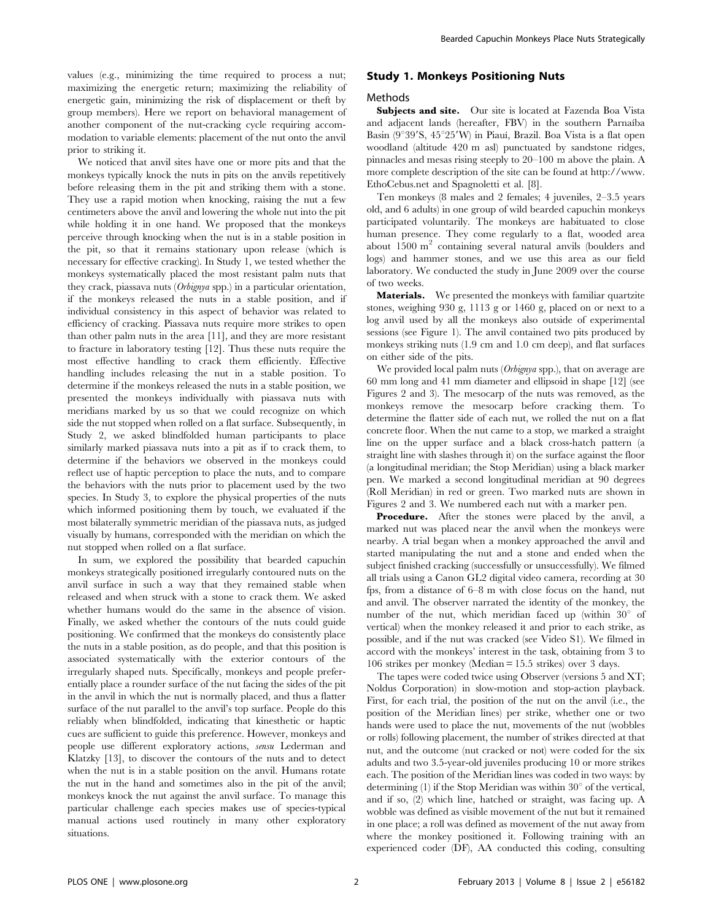values (e.g., minimizing the time required to process a nut; maximizing the energetic return; maximizing the reliability of energetic gain, minimizing the risk of displacement or theft by group members). Here we report on behavioral management of another component of the nut-cracking cycle requiring accommodation to variable elements: placement of the nut onto the anvil prior to striking it.

We noticed that anvil sites have one or more pits and that the monkeys typically knock the nuts in pits on the anvils repetitively before releasing them in the pit and striking them with a stone. They use a rapid motion when knocking, raising the nut a few centimeters above the anvil and lowering the whole nut into the pit while holding it in one hand. We proposed that the monkeys perceive through knocking when the nut is in a stable position in the pit, so that it remains stationary upon release (which is necessary for effective cracking). In Study 1, we tested whether the monkeys systematically placed the most resistant palm nuts that they crack, piassava nuts (Orbignya spp.) in a particular orientation, if the monkeys released the nuts in a stable position, and if individual consistency in this aspect of behavior was related to efficiency of cracking. Piassava nuts require more strikes to open than other palm nuts in the area [11], and they are more resistant to fracture in laboratory testing [12]. Thus these nuts require the most effective handling to crack them efficiently. Effective handling includes releasing the nut in a stable position. To determine if the monkeys released the nuts in a stable position, we presented the monkeys individually with piassava nuts with meridians marked by us so that we could recognize on which side the nut stopped when rolled on a flat surface. Subsequently, in Study 2, we asked blindfolded human participants to place similarly marked piassava nuts into a pit as if to crack them, to determine if the behaviors we observed in the monkeys could reflect use of haptic perception to place the nuts, and to compare the behaviors with the nuts prior to placement used by the two species. In Study 3, to explore the physical properties of the nuts which informed positioning them by touch, we evaluated if the most bilaterally symmetric meridian of the piassava nuts, as judged visually by humans, corresponded with the meridian on which the nut stopped when rolled on a flat surface.

In sum, we explored the possibility that bearded capuchin monkeys strategically positioned irregularly contoured nuts on the anvil surface in such a way that they remained stable when released and when struck with a stone to crack them. We asked whether humans would do the same in the absence of vision. Finally, we asked whether the contours of the nuts could guide positioning. We confirmed that the monkeys do consistently place the nuts in a stable position, as do people, and that this position is associated systematically with the exterior contours of the irregularly shaped nuts. Specifically, monkeys and people preferentially place a rounder surface of the nut facing the sides of the pit in the anvil in which the nut is normally placed, and thus a flatter surface of the nut parallel to the anvil's top surface. People do this reliably when blindfolded, indicating that kinesthetic or haptic cues are sufficient to guide this preference. However, monkeys and people use different exploratory actions, sensu Lederman and Klatzky [13], to discover the contours of the nuts and to detect when the nut is in a stable position on the anvil. Humans rotate the nut in the hand and sometimes also in the pit of the anvil; monkeys knock the nut against the anvil surface. To manage this particular challenge each species makes use of species-typical manual actions used routinely in many other exploratory situations.

## Study 1. Monkeys Positioning Nuts

#### **Methods**

Subjects and site. Our site is located at Fazenda Boa Vista and adjacent lands (hereafter, FBV) in the southern Parnaíba Basin (9°39′S, 45°25′W) in Piauí, Brazil. Boa Vista is a flat open woodland (altitude 420 m asl) punctuated by sandstone ridges, pinnacles and mesas rising steeply to 20–100 m above the plain. A more complete description of the site can be found at http://www. EthoCebus.net and Spagnoletti et al. [8].

Ten monkeys (8 males and 2 females; 4 juveniles, 2–3.5 years old, and 6 adults) in one group of wild bearded capuchin monkeys participated voluntarily. The monkeys are habituated to close human presence. They come regularly to a flat, wooded area about  $1500 \text{ m}^2$  containing several natural anvils (boulders and logs) and hammer stones, and we use this area as our field laboratory. We conducted the study in June 2009 over the course of two weeks.

Materials. We presented the monkeys with familiar quartzite stones, weighing 930 g, 1113 g or 1460 g, placed on or next to a log anvil used by all the monkeys also outside of experimental sessions (see Figure 1). The anvil contained two pits produced by monkeys striking nuts (1.9 cm and 1.0 cm deep), and flat surfaces on either side of the pits.

We provided local palm nuts (Orbignya spp.), that on average are 60 mm long and 41 mm diameter and ellipsoid in shape [12] (see Figures 2 and 3). The mesocarp of the nuts was removed, as the monkeys remove the mesocarp before cracking them. To determine the flatter side of each nut, we rolled the nut on a flat concrete floor. When the nut came to a stop, we marked a straight line on the upper surface and a black cross-hatch pattern (a straight line with slashes through it) on the surface against the floor (a longitudinal meridian; the Stop Meridian) using a black marker pen. We marked a second longitudinal meridian at 90 degrees (Roll Meridian) in red or green. Two marked nuts are shown in Figures 2 and 3. We numbered each nut with a marker pen.

Procedure. After the stones were placed by the anvil, a marked nut was placed near the anvil when the monkeys were nearby. A trial began when a monkey approached the anvil and started manipulating the nut and a stone and ended when the subject finished cracking (successfully or unsuccessfully). We filmed all trials using a Canon GL2 digital video camera, recording at 30 fps, from a distance of 6–8 m with close focus on the hand, nut and anvil. The observer narrated the identity of the monkey, the number of the nut, which meridian faced up (within  $30^{\circ}$  of vertical) when the monkey released it and prior to each strike, as possible, and if the nut was cracked (see Video S1). We filmed in accord with the monkeys' interest in the task, obtaining from 3 to 106 strikes per monkey (Median = 15.5 strikes) over 3 days.

The tapes were coded twice using Observer (versions 5 and XT; Noldus Corporation) in slow-motion and stop-action playback. First, for each trial, the position of the nut on the anvil (i.e., the position of the Meridian lines) per strike, whether one or two hands were used to place the nut, movements of the nut (wobbles or rolls) following placement, the number of strikes directed at that nut, and the outcome (nut cracked or not) were coded for the six adults and two 3.5-year-old juveniles producing 10 or more strikes each. The position of the Meridian lines was coded in two ways: by determining (1) if the Stop Meridian was within  $30^{\circ}$  of the vertical, and if so, (2) which line, hatched or straight, was facing up. A wobble was defined as visible movement of the nut but it remained in one place; a roll was defined as movement of the nut away from where the monkey positioned it. Following training with an experienced coder (DF), AA conducted this coding, consulting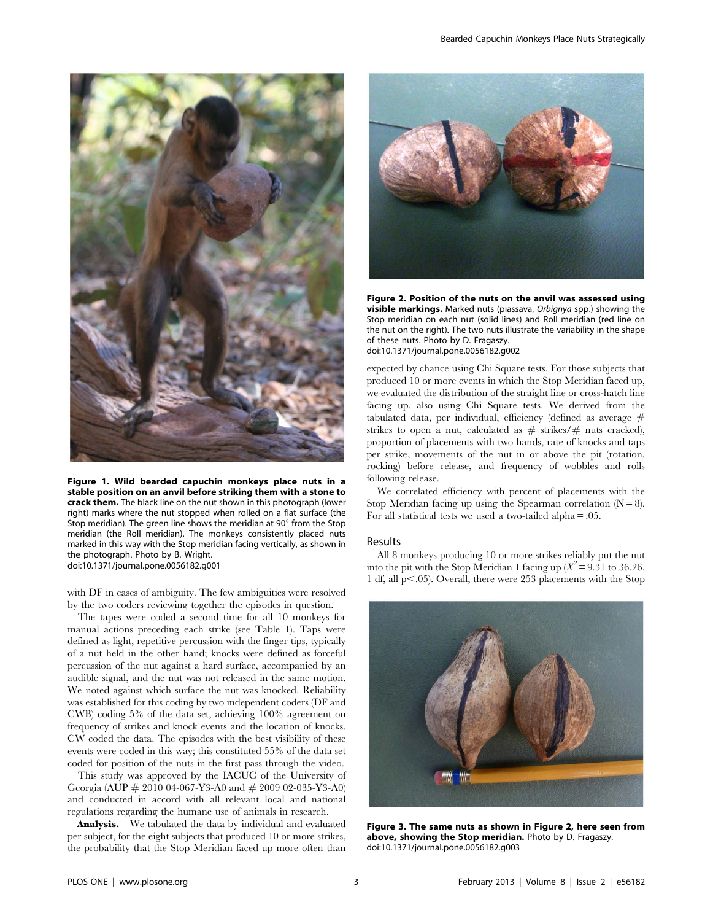

Figure 1. Wild bearded capuchin monkeys place nuts in a stable position on an anvil before striking them with a stone to crack them. The black line on the nut shown in this photograph (lower right) marks where the nut stopped when rolled on a flat surface (the Stop meridian). The green line shows the meridian at 90 $\degree$  from the Stop meridian (the Roll meridian). The monkeys consistently placed nuts marked in this way with the Stop meridian facing vertically, as shown in the photograph. Photo by B. Wright. doi:10.1371/journal.pone.0056182.g001

with DF in cases of ambiguity. The few ambiguities were resolved by the two coders reviewing together the episodes in question.

The tapes were coded a second time for all 10 monkeys for manual actions preceding each strike (see Table 1). Taps were defined as light, repetitive percussion with the finger tips, typically of a nut held in the other hand; knocks were defined as forceful percussion of the nut against a hard surface, accompanied by an audible signal, and the nut was not released in the same motion. We noted against which surface the nut was knocked. Reliability was established for this coding by two independent coders (DF and CWB) coding 5% of the data set, achieving 100% agreement on frequency of strikes and knock events and the location of knocks. CW coded the data. The episodes with the best visibility of these events were coded in this way; this constituted 55% of the data set coded for position of the nuts in the first pass through the video.

This study was approved by the IACUC of the University of Georgia (AUP # 2010 04-067-Y3-A0 and # 2009 02-035-Y3-A0) and conducted in accord with all relevant local and national regulations regarding the humane use of animals in research.

Analysis. We tabulated the data by individual and evaluated per subject, for the eight subjects that produced 10 or more strikes, the probability that the Stop Meridian faced up more often than



Figure 2. Position of the nuts on the anvil was assessed using visible markings. Marked nuts (piassava, Orbignya spp.) showing the Stop meridian on each nut (solid lines) and Roll meridian (red line on the nut on the right). The two nuts illustrate the variability in the shape of these nuts. Photo by D. Fragaszy. doi:10.1371/journal.pone.0056182.g002

expected by chance using Chi Square tests. For those subjects that produced 10 or more events in which the Stop Meridian faced up, we evaluated the distribution of the straight line or cross-hatch line facing up, also using Chi Square tests. We derived from the tabulated data, per individual, efficiency (defined as average  $#$ strikes to open a nut, calculated as  $\#$  strikes/ $\#$  nuts cracked), proportion of placements with two hands, rate of knocks and taps per strike, movements of the nut in or above the pit (rotation, rocking) before release, and frequency of wobbles and rolls following release.

We correlated efficiency with percent of placements with the Stop Meridian facing up using the Spearman correlation  $(N = 8)$ . For all statistical tests we used a two-tailed alpha = .05.

#### Results

All 8 monkeys producing 10 or more strikes reliably put the nut into the pit with the Stop Meridian 1 facing up  $(X^2 = 9.31$  to 36.26, 1 df, all p $\leq$ .05). Overall, there were 253 placements with the Stop



Figure 3. The same nuts as shown in Figure 2, here seen from above, showing the Stop meridian. Photo by D. Fragaszy. doi:10.1371/journal.pone.0056182.g003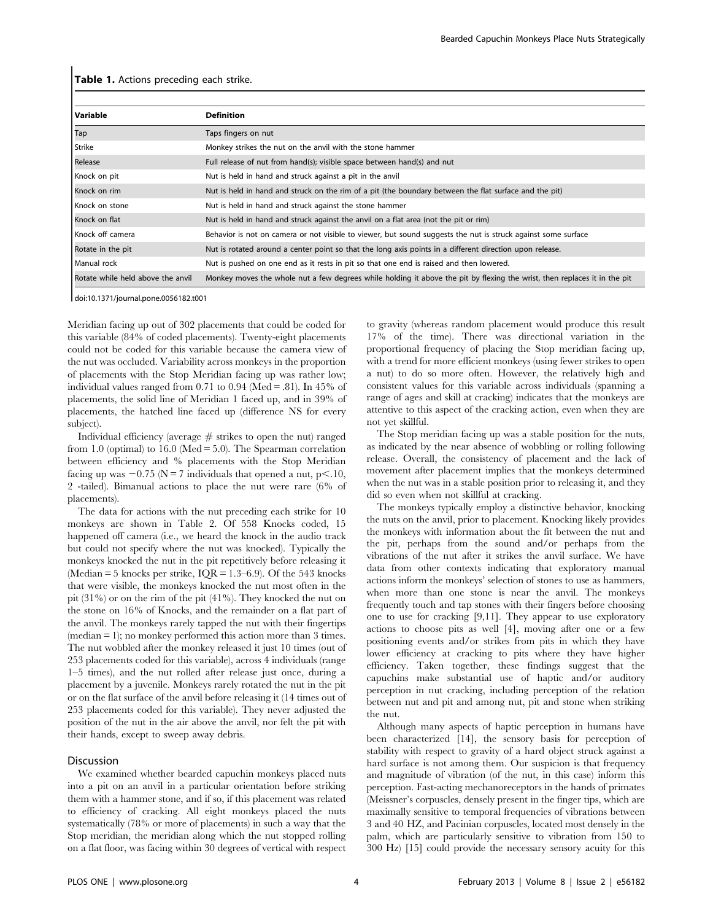#### Table 1. Actions preceding each strike.

| l Variable                        | <b>Definition</b>                                                                                                         |
|-----------------------------------|---------------------------------------------------------------------------------------------------------------------------|
| Tap                               | Taps fingers on nut                                                                                                       |
| <b>Strike</b>                     | Monkey strikes the nut on the anvil with the stone hammer                                                                 |
| Release                           | Full release of nut from hand(s); visible space between hand(s) and nut                                                   |
| Knock on pit                      | Nut is held in hand and struck against a pit in the anvil                                                                 |
| Knock on rim                      | Nut is held in hand and struck on the rim of a pit (the boundary between the flat surface and the pit)                    |
| Knock on stone                    | Nut is held in hand and struck against the stone hammer                                                                   |
| Knock on flat                     | Nut is held in hand and struck against the anvil on a flat area (not the pit or rim)                                      |
| Knock off camera                  | Behavior is not on camera or not visible to viewer, but sound suggests the nut is struck against some surface             |
| Rotate in the pit                 | Nut is rotated around a center point so that the long axis points in a different direction upon release.                  |
| Manual rock                       | Nut is pushed on one end as it rests in pit so that one end is raised and then lowered.                                   |
| Rotate while held above the anvil | Monkey moves the whole nut a few degrees while holding it above the pit by flexing the wrist, then replaces it in the pit |

doi:10.1371/journal.pone.0056182.t001

Meridian facing up out of 302 placements that could be coded for this variable (84% of coded placements). Twenty-eight placements could not be coded for this variable because the camera view of the nut was occluded. Variability across monkeys in the proportion of placements with the Stop Meridian facing up was rather low; individual values ranged from 0.71 to 0.94 (Med  $= .81$ ). In 45% of placements, the solid line of Meridian 1 faced up, and in 39% of placements, the hatched line faced up (difference NS for every subject).

Individual efficiency (average # strikes to open the nut) ranged from 1.0 (optimal) to 16.0 (Med = 5.0). The Spearman correlation between efficiency and % placements with the Stop Meridian facing up was  $-0.75$  (N = 7 individuals that opened a nut, p $\le$ .10, 2 -tailed). Bimanual actions to place the nut were rare (6% of placements).

The data for actions with the nut preceding each strike for 10 monkeys are shown in Table 2. Of 558 Knocks coded, 15 happened off camera (i.e., we heard the knock in the audio track but could not specify where the nut was knocked). Typically the monkeys knocked the nut in the pit repetitively before releasing it (Median  $=$  5 knocks per strike, IQR  $=$  1.3–6.9). Of the 543 knocks that were visible, the monkeys knocked the nut most often in the pit (31%) or on the rim of the pit (41%). They knocked the nut on the stone on 16% of Knocks, and the remainder on a flat part of the anvil. The monkeys rarely tapped the nut with their fingertips  $(median = 1)$ ; no monkey performed this action more than 3 times. The nut wobbled after the monkey released it just 10 times (out of 253 placements coded for this variable), across 4 individuals (range 1–5 times), and the nut rolled after release just once, during a placement by a juvenile. Monkeys rarely rotated the nut in the pit or on the flat surface of the anvil before releasing it (14 times out of 253 placements coded for this variable). They never adjusted the position of the nut in the air above the anvil, nor felt the pit with their hands, except to sweep away debris.

### Discussion

We examined whether bearded capuchin monkeys placed nuts into a pit on an anvil in a particular orientation before striking them with a hammer stone, and if so, if this placement was related to efficiency of cracking. All eight monkeys placed the nuts systematically (78% or more of placements) in such a way that the Stop meridian, the meridian along which the nut stopped rolling on a flat floor, was facing within 30 degrees of vertical with respect to gravity (whereas random placement would produce this result 17% of the time). There was directional variation in the proportional frequency of placing the Stop meridian facing up, with a trend for more efficient monkeys (using fewer strikes to open a nut) to do so more often. However, the relatively high and consistent values for this variable across individuals (spanning a range of ages and skill at cracking) indicates that the monkeys are attentive to this aspect of the cracking action, even when they are not yet skillful.

The Stop meridian facing up was a stable position for the nuts, as indicated by the near absence of wobbling or rolling following release. Overall, the consistency of placement and the lack of movement after placement implies that the monkeys determined when the nut was in a stable position prior to releasing it, and they did so even when not skillful at cracking.

The monkeys typically employ a distinctive behavior, knocking the nuts on the anvil, prior to placement. Knocking likely provides the monkeys with information about the fit between the nut and the pit, perhaps from the sound and/or perhaps from the vibrations of the nut after it strikes the anvil surface. We have data from other contexts indicating that exploratory manual actions inform the monkeys' selection of stones to use as hammers, when more than one stone is near the anvil. The monkeys frequently touch and tap stones with their fingers before choosing one to use for cracking [9,11]. They appear to use exploratory actions to choose pits as well [4], moving after one or a few positioning events and/or strikes from pits in which they have lower efficiency at cracking to pits where they have higher efficiency. Taken together, these findings suggest that the capuchins make substantial use of haptic and/or auditory perception in nut cracking, including perception of the relation between nut and pit and among nut, pit and stone when striking the nut.

Although many aspects of haptic perception in humans have been characterized [14], the sensory basis for perception of stability with respect to gravity of a hard object struck against a hard surface is not among them. Our suspicion is that frequency and magnitude of vibration (of the nut, in this case) inform this perception. Fast-acting mechanoreceptors in the hands of primates (Meissner's corpuscles, densely present in the finger tips, which are maximally sensitive to temporal frequencies of vibrations between 3 and 40 HZ, and Pacinian corpuscles, located most densely in the palm, which are particularly sensitive to vibration from 150 to 300 Hz) [15] could provide the necessary sensory acuity for this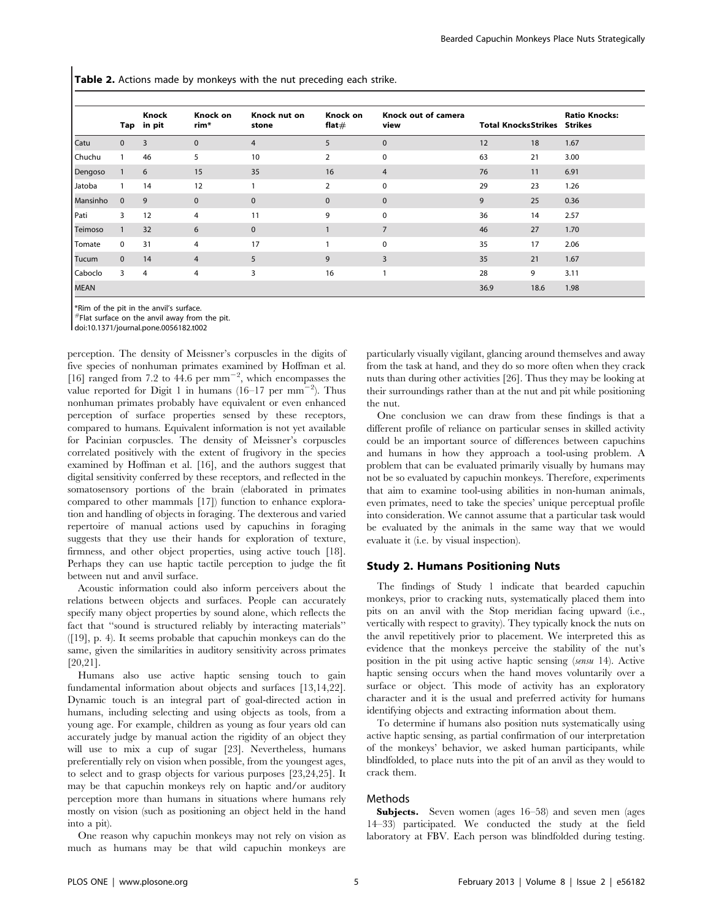Table 2. Actions made by monkeys with the nut preceding each strike.

|             |                | <b>Knock</b><br>Tap in pit | Knock on<br>rim* | Knock nut on<br>stone | Knock on<br>flat $#$ | Knock out of camera<br>view | <b>Total KnocksStrikes Strikes</b> |      | <b>Ratio Knocks:</b> |
|-------------|----------------|----------------------------|------------------|-----------------------|----------------------|-----------------------------|------------------------------------|------|----------------------|
| Catu        | $\mathbf{0}$   | $\overline{3}$             | $\mathbf{0}$     | $\overline{4}$        | 5                    | $\mathbf{0}$                | 12                                 | 18   | 1.67                 |
| Chuchu      | $\mathbf{1}$   | 46                         | 5                | 10                    | $\overline{2}$       | $\mathbf 0$                 | 63                                 | 21   | 3.00                 |
| Dengoso     |                | 6                          | 15               | 35                    | 16                   | 4                           | 76                                 | 11   | 6.91                 |
| Jatoba      |                | 14                         | 12               |                       | $\overline{2}$       | 0                           | 29                                 | 23   | 1.26                 |
| Mansinho    | $\Omega$       | 9                          | $\mathbf 0$      | $\mathbf{0}$          | $\mathbf{0}$         | $\mathbf{0}$                | 9                                  | 25   | 0.36                 |
| Pati        | 3              | 12                         | 4                | 11                    | 9                    | $\Omega$                    | 36                                 | 14   | 2.57                 |
| Teimoso     |                | 32                         | 6                | $\mathbf{0}$          | $\mathbf{1}$         | $\overline{7}$              | 46                                 | 27   | 1.70                 |
| Tomate      | $\mathbf{0}$   | 31                         | $\overline{4}$   | 17                    |                      | $\Omega$                    | 35                                 | 17   | 2.06                 |
| Tucum       | $\mathbf{0}$   | 14                         | $\overline{4}$   | 5                     | 9                    | 3                           | 35                                 | 21   | 1.67                 |
| Caboclo     | $\overline{3}$ | $\overline{4}$             | 4                | 3                     | 16                   |                             | 28                                 | 9    | 3.11                 |
| <b>MEAN</b> |                |                            |                  |                       |                      |                             | 36.9                               | 18.6 | 1.98                 |

\*Rim of the pit in the anvil's surface.

 $*$  Flat surface on the anvil away from the pit.

doi:10.1371/journal.pone.0056182.t002

perception. The density of Meissner's corpuscles in the digits of five species of nonhuman primates examined by Hoffman et al. [16] ranged from 7.2 to 44.6 per  $mm^{-2}$ , which encompasses the value reported for Digit 1 in humans  $(16-17)$  per mm<sup>-2</sup>). Thus nonhuman primates probably have equivalent or even enhanced perception of surface properties sensed by these receptors, compared to humans. Equivalent information is not yet available for Pacinian corpuscles. The density of Meissner's corpuscles correlated positively with the extent of frugivory in the species examined by Hoffman et al. [16], and the authors suggest that digital sensitivity conferred by these receptors, and reflected in the somatosensory portions of the brain (elaborated in primates compared to other mammals [17]) function to enhance exploration and handling of objects in foraging. The dexterous and varied repertoire of manual actions used by capuchins in foraging suggests that they use their hands for exploration of texture, firmness, and other object properties, using active touch [18]. Perhaps they can use haptic tactile perception to judge the fit between nut and anvil surface.

Acoustic information could also inform perceivers about the relations between objects and surfaces. People can accurately specify many object properties by sound alone, which reflects the fact that ''sound is structured reliably by interacting materials'' ([19], p. 4). It seems probable that capuchin monkeys can do the same, given the similarities in auditory sensitivity across primates [20,21].

Humans also use active haptic sensing touch to gain fundamental information about objects and surfaces [13,14,22]. Dynamic touch is an integral part of goal-directed action in humans, including selecting and using objects as tools, from a young age. For example, children as young as four years old can accurately judge by manual action the rigidity of an object they will use to mix a cup of sugar [23]. Nevertheless, humans preferentially rely on vision when possible, from the youngest ages, to select and to grasp objects for various purposes [23,24,25]. It may be that capuchin monkeys rely on haptic and/or auditory perception more than humans in situations where humans rely mostly on vision (such as positioning an object held in the hand into a pit).

One reason why capuchin monkeys may not rely on vision as much as humans may be that wild capuchin monkeys are particularly visually vigilant, glancing around themselves and away from the task at hand, and they do so more often when they crack nuts than during other activities [26]. Thus they may be looking at their surroundings rather than at the nut and pit while positioning the nut.

One conclusion we can draw from these findings is that a different profile of reliance on particular senses in skilled activity could be an important source of differences between capuchins and humans in how they approach a tool-using problem. A problem that can be evaluated primarily visually by humans may not be so evaluated by capuchin monkeys. Therefore, experiments that aim to examine tool-using abilities in non-human animals, even primates, need to take the species' unique perceptual profile into consideration. We cannot assume that a particular task would be evaluated by the animals in the same way that we would evaluate it (i.e. by visual inspection).

## Study 2. Humans Positioning Nuts

The findings of Study 1 indicate that bearded capuchin monkeys, prior to cracking nuts, systematically placed them into pits on an anvil with the Stop meridian facing upward (i.e., vertically with respect to gravity). They typically knock the nuts on the anvil repetitively prior to placement. We interpreted this as evidence that the monkeys perceive the stability of the nut's position in the pit using active haptic sensing (sensu 14). Active haptic sensing occurs when the hand moves voluntarily over a surface or object. This mode of activity has an exploratory character and it is the usual and preferred activity for humans identifying objects and extracting information about them.

To determine if humans also position nuts systematically using active haptic sensing, as partial confirmation of our interpretation of the monkeys' behavior, we asked human participants, while blindfolded, to place nuts into the pit of an anvil as they would to crack them.

## Methods

Subjects. Seven women (ages 16–58) and seven men (ages 14–33) participated. We conducted the study at the field laboratory at FBV. Each person was blindfolded during testing.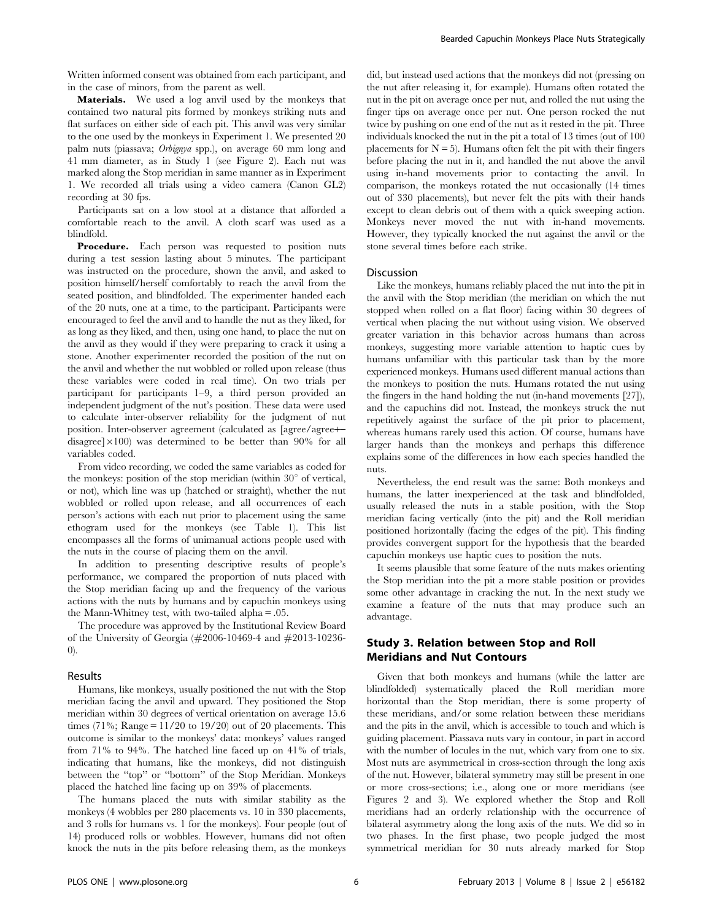Written informed consent was obtained from each participant, and in the case of minors, from the parent as well.

Materials. We used a log anvil used by the monkeys that contained two natural pits formed by monkeys striking nuts and flat surfaces on either side of each pit. This anvil was very similar to the one used by the monkeys in Experiment 1. We presented 20 palm nuts (piassava; Orbignya spp.), on average 60 mm long and 41 mm diameter, as in Study 1 (see Figure 2). Each nut was marked along the Stop meridian in same manner as in Experiment 1. We recorded all trials using a video camera (Canon GL2) recording at 30 fps.

Participants sat on a low stool at a distance that afforded a comfortable reach to the anvil. A cloth scarf was used as a blindfold.

Procedure. Each person was requested to position nuts during a test session lasting about 5 minutes. The participant was instructed on the procedure, shown the anvil, and asked to position himself/herself comfortably to reach the anvil from the seated position, and blindfolded. The experimenter handed each of the 20 nuts, one at a time, to the participant. Participants were encouraged to feel the anvil and to handle the nut as they liked, for as long as they liked, and then, using one hand, to place the nut on the anvil as they would if they were preparing to crack it using a stone. Another experimenter recorded the position of the nut on the anvil and whether the nut wobbled or rolled upon release (thus these variables were coded in real time). On two trials per participant for participants 1–9, a third person provided an independent judgment of the nut's position. These data were used to calculate inter-observer reliability for the judgment of nut position. Inter-observer agreement (calculated as [agree/agree+ disagree] $\times100$ ) was determined to be better than 90% for all variables coded.

From video recording, we coded the same variables as coded for the monkeys: position of the stop meridian (within  $30^{\circ}$  of vertical, or not), which line was up (hatched or straight), whether the nut wobbled or rolled upon release, and all occurrences of each person's actions with each nut prior to placement using the same ethogram used for the monkeys (see Table 1). This list encompasses all the forms of unimanual actions people used with the nuts in the course of placing them on the anvil.

In addition to presenting descriptive results of people's performance, we compared the proportion of nuts placed with the Stop meridian facing up and the frequency of the various actions with the nuts by humans and by capuchin monkeys using the Mann-Whitney test, with two-tailed alpha = .05.

The procedure was approved by the Institutional Review Board of the University of Georgia (#2006-10469-4 and #2013-10236- 0).

#### Results

Humans, like monkeys, usually positioned the nut with the Stop meridian facing the anvil and upward. They positioned the Stop meridian within 30 degrees of vertical orientation on average 15.6 times (71%; Range =  $11/20$  to 19/20) out of 20 placements. This outcome is similar to the monkeys' data: monkeys' values ranged from 71% to 94%. The hatched line faced up on 41% of trials, indicating that humans, like the monkeys, did not distinguish between the ''top'' or ''bottom'' of the Stop Meridian. Monkeys placed the hatched line facing up on 39% of placements.

The humans placed the nuts with similar stability as the monkeys (4 wobbles per 280 placements vs. 10 in 330 placements, and 3 rolls for humans vs. 1 for the monkeys). Four people (out of 14) produced rolls or wobbles. However, humans did not often knock the nuts in the pits before releasing them, as the monkeys did, but instead used actions that the monkeys did not (pressing on the nut after releasing it, for example). Humans often rotated the nut in the pit on average once per nut, and rolled the nut using the finger tips on average once per nut. One person rocked the nut twice by pushing on one end of the nut as it rested in the pit. Three individuals knocked the nut in the pit a total of 13 times (out of 100 placements for  $N = 5$ ). Humans often felt the pit with their fingers before placing the nut in it, and handled the nut above the anvil using in-hand movements prior to contacting the anvil. In comparison, the monkeys rotated the nut occasionally (14 times out of 330 placements), but never felt the pits with their hands except to clean debris out of them with a quick sweeping action. Monkeys never moved the nut with in-hand movements. However, they typically knocked the nut against the anvil or the stone several times before each strike.

#### Discussion

Like the monkeys, humans reliably placed the nut into the pit in the anvil with the Stop meridian (the meridian on which the nut stopped when rolled on a flat floor) facing within 30 degrees of vertical when placing the nut without using vision. We observed greater variation in this behavior across humans than across monkeys, suggesting more variable attention to haptic cues by humans unfamiliar with this particular task than by the more experienced monkeys. Humans used different manual actions than the monkeys to position the nuts. Humans rotated the nut using the fingers in the hand holding the nut (in-hand movements [27]), and the capuchins did not. Instead, the monkeys struck the nut repetitively against the surface of the pit prior to placement, whereas humans rarely used this action. Of course, humans have larger hands than the monkeys and perhaps this difference explains some of the differences in how each species handled the nuts.

Nevertheless, the end result was the same: Both monkeys and humans, the latter inexperienced at the task and blindfolded, usually released the nuts in a stable position, with the Stop meridian facing vertically (into the pit) and the Roll meridian positioned horizontally (facing the edges of the pit). This finding provides convergent support for the hypothesis that the bearded capuchin monkeys use haptic cues to position the nuts.

It seems plausible that some feature of the nuts makes orienting the Stop meridian into the pit a more stable position or provides some other advantage in cracking the nut. In the next study we examine a feature of the nuts that may produce such an advantage.

## Study 3. Relation between Stop and Roll Meridians and Nut Contours

Given that both monkeys and humans (while the latter are blindfolded) systematically placed the Roll meridian more horizontal than the Stop meridian, there is some property of these meridians, and/or some relation between these meridians and the pits in the anvil, which is accessible to touch and which is guiding placement. Piassava nuts vary in contour, in part in accord with the number of locules in the nut, which vary from one to six. Most nuts are asymmetrical in cross-section through the long axis of the nut. However, bilateral symmetry may still be present in one or more cross-sections; i.e., along one or more meridians (see Figures 2 and 3). We explored whether the Stop and Roll meridians had an orderly relationship with the occurrence of bilateral asymmetry along the long axis of the nuts. We did so in two phases. In the first phase, two people judged the most symmetrical meridian for 30 nuts already marked for Stop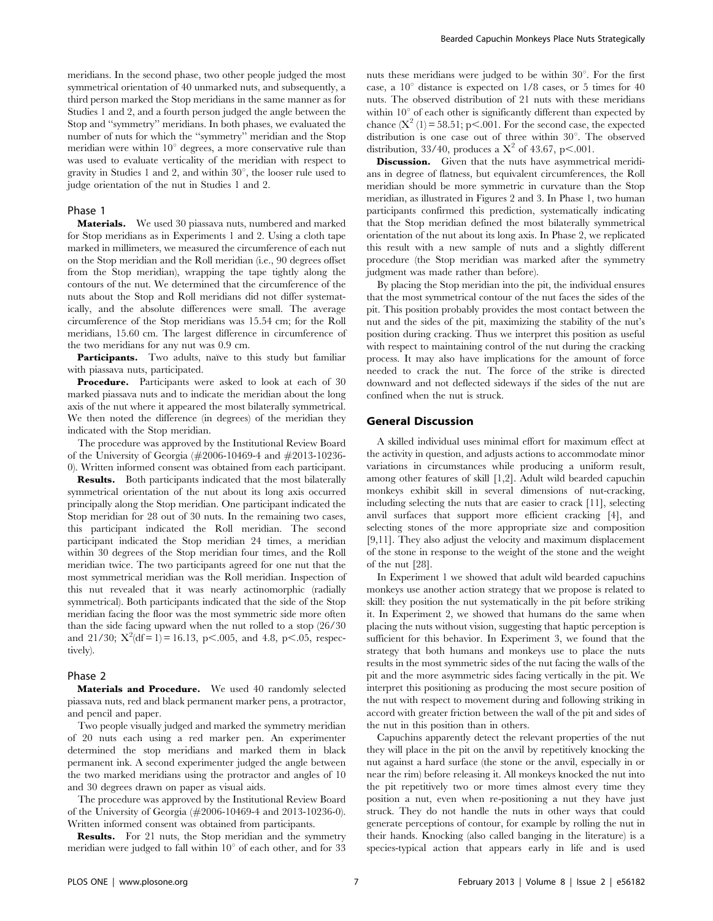meridians. In the second phase, two other people judged the most symmetrical orientation of 40 unmarked nuts, and subsequently, a third person marked the Stop meridians in the same manner as for Studies 1 and 2, and a fourth person judged the angle between the Stop and ''symmetry'' meridians. In both phases, we evaluated the number of nuts for which the ''symmetry'' meridian and the Stop meridian were within  $10^{\circ}$  degrees, a more conservative rule than was used to evaluate verticality of the meridian with respect to gravity in Studies 1 and 2, and within  $30^{\circ}$ , the looser rule used to judge orientation of the nut in Studies 1 and 2.

## Phase 1

Materials. We used 30 piassava nuts, numbered and marked for Stop meridians as in Experiments 1 and 2. Using a cloth tape marked in millimeters, we measured the circumference of each nut on the Stop meridian and the Roll meridian (i.e., 90 degrees offset from the Stop meridian), wrapping the tape tightly along the contours of the nut. We determined that the circumference of the nuts about the Stop and Roll meridians did not differ systematically, and the absolute differences were small. The average circumference of the Stop meridians was 15.54 cm; for the Roll meridians, 15.60 cm. The largest difference in circumference of the two meridians for any nut was 0.9 cm.

Participants. Two adults, naïve to this study but familiar with piassava nuts, participated.

Procedure. Participants were asked to look at each of 30 marked piassava nuts and to indicate the meridian about the long axis of the nut where it appeared the most bilaterally symmetrical. We then noted the difference (in degrees) of the meridian they indicated with the Stop meridian.

The procedure was approved by the Institutional Review Board of the University of Georgia (#2006-10469-4 and #2013-10236- 0). Written informed consent was obtained from each participant.

Results. Both participants indicated that the most bilaterally symmetrical orientation of the nut about its long axis occurred principally along the Stop meridian. One participant indicated the Stop meridian for 28 out of 30 nuts. In the remaining two cases, this participant indicated the Roll meridian. The second participant indicated the Stop meridian 24 times, a meridian within 30 degrees of the Stop meridian four times, and the Roll meridian twice. The two participants agreed for one nut that the most symmetrical meridian was the Roll meridian. Inspection of this nut revealed that it was nearly actinomorphic (radially symmetrical). Both participants indicated that the side of the Stop meridian facing the floor was the most symmetric side more often than the side facing upward when the nut rolled to a stop (26/30 and 21/30;  $X^2(df=1) = 16.13$ , p<.005, and 4.8, p<.05, respectively).

## Phase 2

Materials and Procedure. We used 40 randomly selected piassava nuts, red and black permanent marker pens, a protractor, and pencil and paper.

Two people visually judged and marked the symmetry meridian of 20 nuts each using a red marker pen. An experimenter determined the stop meridians and marked them in black permanent ink. A second experimenter judged the angle between the two marked meridians using the protractor and angles of 10 and 30 degrees drawn on paper as visual aids.

The procedure was approved by the Institutional Review Board of the University of Georgia (#2006-10469-4 and 2013-10236-0). Written informed consent was obtained from participants.

Results. For 21 nuts, the Stop meridian and the symmetry meridian were judged to fall within  $10^{\circ}$  of each other, and for 33

nuts these meridians were judged to be within  $30^{\circ}$ . For the first case, a  $10^{\circ}$  distance is expected on  $1/8$  cases, or 5 times for 40 nuts. The observed distribution of 21 nuts with these meridians within  $10^{\circ}$  of each other is significantly different than expected by chance  $(X^2(1) = 58.51$ ; p<.001. For the second case, the expected distribution is one case out of three within  $30^{\circ}$ . The observed distribution, 33/40, produces a  $X^2$  of 43.67, p<.001.

Discussion. Given that the nuts have asymmetrical meridians in degree of flatness, but equivalent circumferences, the Roll meridian should be more symmetric in curvature than the Stop meridian, as illustrated in Figures 2 and 3. In Phase 1, two human participants confirmed this prediction, systematically indicating that the Stop meridian defined the most bilaterally symmetrical orientation of the nut about its long axis. In Phase 2, we replicated this result with a new sample of nuts and a slightly different procedure (the Stop meridian was marked after the symmetry judgment was made rather than before).

By placing the Stop meridian into the pit, the individual ensures that the most symmetrical contour of the nut faces the sides of the pit. This position probably provides the most contact between the nut and the sides of the pit, maximizing the stability of the nut's position during cracking. Thus we interpret this position as useful with respect to maintaining control of the nut during the cracking process. It may also have implications for the amount of force needed to crack the nut. The force of the strike is directed downward and not deflected sideways if the sides of the nut are confined when the nut is struck.

## General Discussion

A skilled individual uses minimal effort for maximum effect at the activity in question, and adjusts actions to accommodate minor variations in circumstances while producing a uniform result, among other features of skill [1,2]. Adult wild bearded capuchin monkeys exhibit skill in several dimensions of nut-cracking, including selecting the nuts that are easier to crack [11], selecting anvil surfaces that support more efficient cracking [4], and selecting stones of the more appropriate size and composition [9,11]. They also adjust the velocity and maximum displacement of the stone in response to the weight of the stone and the weight of the nut [28].

In Experiment 1 we showed that adult wild bearded capuchins monkeys use another action strategy that we propose is related to skill: they position the nut systematically in the pit before striking it. In Experiment 2, we showed that humans do the same when placing the nuts without vision, suggesting that haptic perception is sufficient for this behavior. In Experiment 3, we found that the strategy that both humans and monkeys use to place the nuts results in the most symmetric sides of the nut facing the walls of the pit and the more asymmetric sides facing vertically in the pit. We interpret this positioning as producing the most secure position of the nut with respect to movement during and following striking in accord with greater friction between the wall of the pit and sides of the nut in this position than in others.

Capuchins apparently detect the relevant properties of the nut they will place in the pit on the anvil by repetitively knocking the nut against a hard surface (the stone or the anvil, especially in or near the rim) before releasing it. All monkeys knocked the nut into the pit repetitively two or more times almost every time they position a nut, even when re-positioning a nut they have just struck. They do not handle the nuts in other ways that could generate perceptions of contour, for example by rolling the nut in their hands. Knocking (also called banging in the literature) is a species-typical action that appears early in life and is used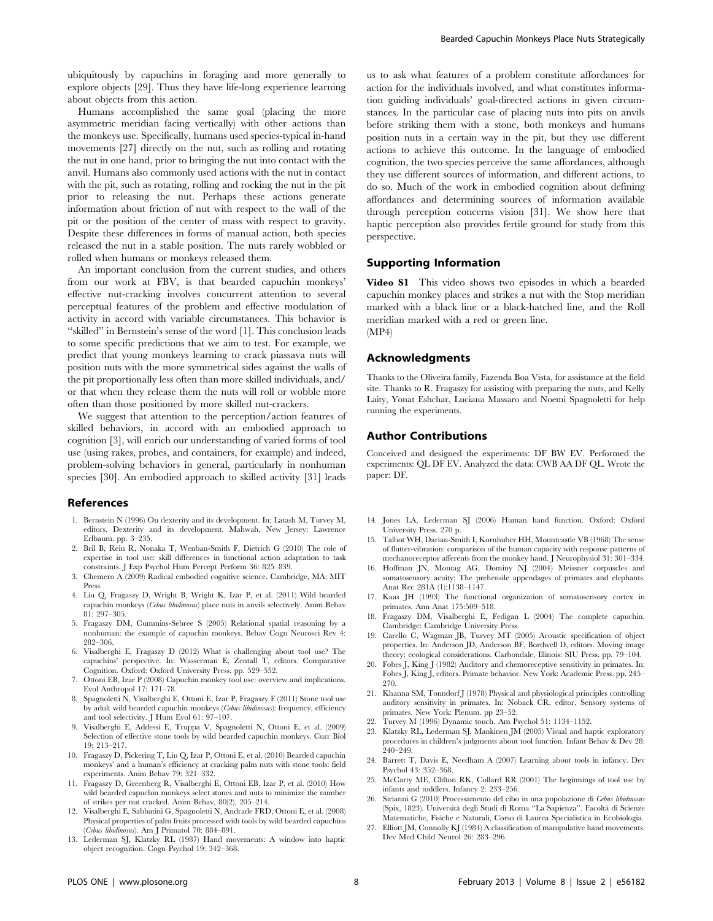ubiquitously by capuchins in foraging and more generally to explore objects [29]. Thus they have life-long experience learning about objects from this action.

Humans accomplished the same goal (placing the more asymmetric meridian facing vertically) with other actions than the monkeys use. Specifically, humans used species-typical in-hand movements [27] directly on the nut, such as rolling and rotating the nut in one hand, prior to bringing the nut into contact with the anvil. Humans also commonly used actions with the nut in contact with the pit, such as rotating, rolling and rocking the nut in the pit prior to releasing the nut. Perhaps these actions generate information about friction of nut with respect to the wall of the pit or the position of the center of mass with respect to gravity. Despite these differences in forms of manual action, both species released the nut in a stable position. The nuts rarely wobbled or rolled when humans or monkeys released them.

An important conclusion from the current studies, and others from our work at FBV, is that bearded capuchin monkeys' effective nut-cracking involves concurrent attention to several perceptual features of the problem and effective modulation of activity in accord with variable circumstances. This behavior is ''skilled'' in Bernstein's sense of the word [1]. This conclusion leads to some specific predictions that we aim to test. For example, we predict that young monkeys learning to crack piassava nuts will position nuts with the more symmetrical sides against the walls of the pit proportionally less often than more skilled individuals, and/ or that when they release them the nuts will roll or wobble more often than those positioned by more skilled nut-crackers.

We suggest that attention to the perception/action features of skilled behaviors, in accord with an embodied approach to cognition [3], will enrich our understanding of varied forms of tool use (using rakes, probes, and containers, for example) and indeed, problem-solving behaviors in general, particularly in nonhuman species [30]. An embodied approach to skilled activity [31] leads

#### References

- 1. Bernstein N (1996) On dexterity and its development. In: Latash M, Turvey M, editors. Dexterity and its development. Mahwah, New Jersey: Lawrence Erlbaum. pp. 3–235.
- 2. Bril B, Rein R, Nonaka T, Wenban-Smith F, Dietrich G (2010) The role of expertise in tool use: skill differences in functional action adaptation to task constraints. J Exp Psychol Hum Percept Perform 36: 825–839.
- 3. Chemero A (2009) Radical embodied cognitive science. Cambridge, MA: MIT Press.
- 4. Liu Q, Fragaszy D, Wright B, Wright K, Izar P, et al. (2011) Wild bearded capuchin monkeys (Cebus libidinosus) place nuts in anvils selectively. Anim Behav 81: 297–305.
- 5. Fragaszy DM, Cummins-Sebree S (2005) Relational spatial reasoning by a nonhuman: the example of capuchin monkeys. Behav Cogn Neurosci Rev 4: 282–306.
- 6. Visalberghi E, Fragaszy D (2012) What is challenging about tool use? The capuchins' perspective. In: Wasserman E, Zentall T, editors. Comparative Cognition. Oxford: Oxford University Press. pp. 529–552.
- 7. Ottoni EB, Izar P (2008) Capuchin monkey tool use: overview and implications. Evol Anthropol 17: 171–78.
- 8. Spagnoletti N, Visalberghi E, Ottoni E, Izar P, Fragaszy F (2011) Stone tool use by adult wild bearded capuchin monkeys (Cebus libidinosus): frequency, efficiency and tool selectivity. J Hum Evol 61: 97–107.
- 9. Visalberghi E, Addessi E, Truppa V, Spagnoletti N, Ottoni E, et al. (2009) Selection of effective stone tools by wild bearded capuchin monkeys. Curr Biol 19: 213–217.
- 10. Fragaszy D, Pickering T, Liu Q, Izar P, Ottoni E, et al. (2010) Bearded capuchin monkeys' and a human's efficiency at cracking palm nuts with stone tools: field experiments. Anim Behav 79: 321–332.
- 11. Fragaszy D, Greenberg R, Visalberghi E, Ottoni EB, Izar P, et al. (2010) How wild bearded capuchin monkeys select stones and nuts to minimize the number of strikes per nut cracked. Anim Behav, 80(2), 205–214.
- 12. Visalberghi E, Sabbatini G, Spagnoletti N, Andrade FRD, Ottoni E, et al. (2008) Physical properties of palm fruits processed with tools by wild bearded capuchins (Cebus libidinosus). Am J Primatol 70: 884–891.
- 13. Lederman SJ, Klatzky RL (1987) Hand movements: A window into haptic object recognition. Cogn Psychol 19: 342–368.

us to ask what features of a problem constitute affordances for action for the individuals involved, and what constitutes information guiding individuals' goal-directed actions in given circumstances. In the particular case of placing nuts into pits on anvils before striking them with a stone, both monkeys and humans position nuts in a certain way in the pit, but they use different actions to achieve this outcome. In the language of embodied cognition, the two species perceive the same affordances, although they use different sources of information, and different actions, to do so. Much of the work in embodied cognition about defining affordances and determining sources of information available through perception concerns vision [31]. We show here that haptic perception also provides fertile ground for study from this perspective.

#### Supporting Information

Video S1 This video shows two episodes in which a bearded capuchin monkey places and strikes a nut with the Stop meridian marked with a black line or a black-hatched line, and the Roll meridian marked with a red or green line. (MP4)

#### Acknowledgments

Thanks to the Oliveira family, Fazenda Boa Vista, for assistance at the field site. Thanks to R. Fragaszy for assisting with preparing the nuts, and Kelly Laity, Yonat Eshchar, Luciana Massaro and Noemi Spagnoletti for help running the experiments.

## Author Contributions

Conceived and designed the experiments: DF BW EV. Performed the experiments: QL DF EV. Analyzed the data: CWB AA DF QL. Wrote the paper: DF.

- 14. Jones LA, Lederman SJ (2006) Human hand function. Oxford: Oxford University Press. 270 p.
- 15. Talbot WH, Darian-Smith I, Kornhuber HH, Mountcastle VB (1968) The sense of flutter-vibration: comparison of the human capacity with response patterns of mechanoreceptor afferents from the monkey hand. J Neurophysiol 31: 301–334.
- 16. Hoffman JN, Montag AG, Dominy NJ (2004) Meissner corpuscles and somatosensory acuity: The prehensile appendages of primates and elephants. Anat Rec 281A (1):1138–1147.
- 17. Kaas JH (1993) The functional organization of somatosensory cortex in primates. Ann Anat 175:509–518.
- 18. Fragaszy DM, Visalberghi E, Fedigan L (2004) The complete capuchin. Cambridge: Cambridge University Press.
- 19. Carello C, Wagman JB, Turvey MT (2005) Acoustic specification of object properties. In: Anderson JD, Anderson BF, Bordwell D, editors. Moving image theory: ecological considerations. Carbondale, Illinois: SIU Press. pp. 79–104.
- 20. Fobes J, King J (1982) Auditory and chemoreceptive sensitivity in primates. In: Fobes J, King J, editors. Primate behavior. New York: Academic Press. pp. 245– 270.
- 21. Khanna SM, Tonndorf J (1978) Physical and physiological principles controlling auditory sensitivity in primates. In: Noback CR, editor. Sensory systems of primates. New York: Plenum. pp 23–52.
- 22. Turvey M (1996) Dynamic touch. Am Psychol 51: 1134–1152.
- 23. Klatzky RL, Lederman SJ, Mankinen JM (2005) Visual and haptic exploratory procedures in children's judgments about tool function. Infant Behav & Dev 28: 240–249.
- 24. Barrett T, Davis E, Needham A (2007) Learning about tools in infancy. Dev Psychol 43: 352–368.
- 25. McCarty ME, Clifton RK, Collard RR (2001) The beginnings of tool use by infants and toddlers. Infancy 2: 233–256.
- 26. Sirianni G (2010) Processamento del cibo in una popolazione di Cebus libidinosus (Spix, 1823). Universita` degli Studi di Roma ''La Sapienza''. Facolta` di Scienze Matematiche, Fisiche e Naturali, Corso di Laurea Specialistica in Ecobiologia.
- 27. Elliott JM, Connolly KJ (1984) A classification of manipulative hand movements. Dev Med Child Neurol 26: 283–296.